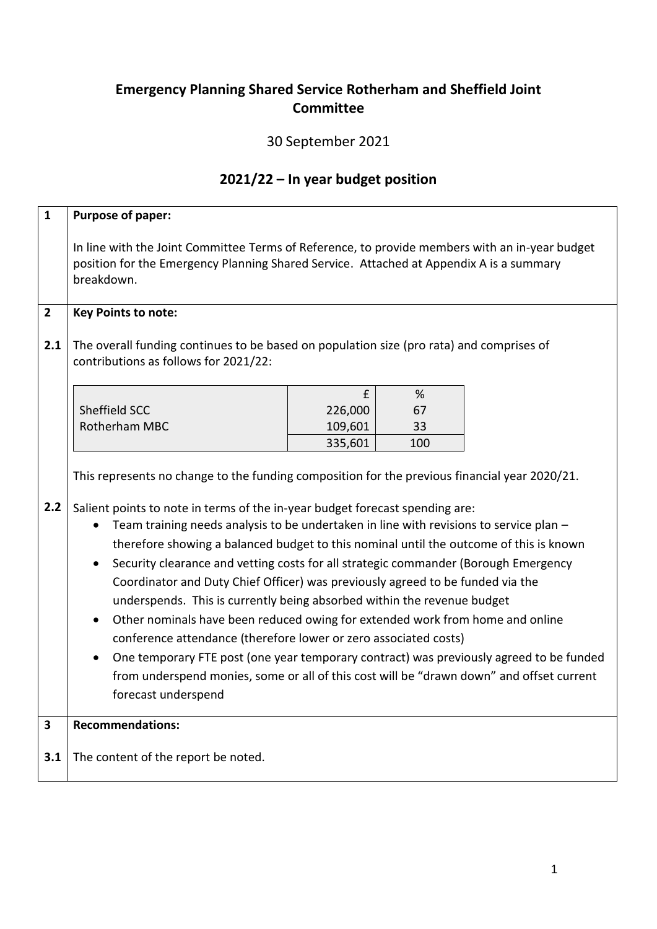## **Emergency Planning Shared Service Rotherham and Sheffield Joint Committee**

## 30 September 2021

## **2021/22 – In year budget position**

| $\mathbf{1}$ | Purpose of paper:                                                                                                                                                                                       |         |     |  |  |  |  |  |  |  |
|--------------|---------------------------------------------------------------------------------------------------------------------------------------------------------------------------------------------------------|---------|-----|--|--|--|--|--|--|--|
|              | In line with the Joint Committee Terms of Reference, to provide members with an in-year budget<br>position for the Emergency Planning Shared Service. Attached at Appendix A is a summary<br>breakdown. |         |     |  |  |  |  |  |  |  |
| $2^{\circ}$  | <b>Key Points to note:</b>                                                                                                                                                                              |         |     |  |  |  |  |  |  |  |
| 2.1          | The overall funding continues to be based on population size (pro rata) and comprises of<br>contributions as follows for 2021/22:                                                                       |         |     |  |  |  |  |  |  |  |
|              |                                                                                                                                                                                                         | £       | %   |  |  |  |  |  |  |  |
|              | Sheffield SCC                                                                                                                                                                                           | 226,000 | 67  |  |  |  |  |  |  |  |
|              | Rotherham MBC                                                                                                                                                                                           | 109,601 | 33  |  |  |  |  |  |  |  |
|              |                                                                                                                                                                                                         | 335,601 | 100 |  |  |  |  |  |  |  |
|              | This represents no change to the funding composition for the previous financial year 2020/21.                                                                                                           |         |     |  |  |  |  |  |  |  |
| 2.2          | Salient points to note in terms of the in-year budget forecast spending are:                                                                                                                            |         |     |  |  |  |  |  |  |  |
|              | Team training needs analysis to be undertaken in line with revisions to service plan -                                                                                                                  |         |     |  |  |  |  |  |  |  |
|              | therefore showing a balanced budget to this nominal until the outcome of this is known                                                                                                                  |         |     |  |  |  |  |  |  |  |
|              | Security clearance and vetting costs for all strategic commander (Borough Emergency<br>$\bullet$                                                                                                        |         |     |  |  |  |  |  |  |  |
|              | Coordinator and Duty Chief Officer) was previously agreed to be funded via the                                                                                                                          |         |     |  |  |  |  |  |  |  |
|              | underspends. This is currently being absorbed within the revenue budget                                                                                                                                 |         |     |  |  |  |  |  |  |  |
|              | Other nominals have been reduced owing for extended work from home and online<br>$\bullet$                                                                                                              |         |     |  |  |  |  |  |  |  |
|              | conference attendance (therefore lower or zero associated costs)                                                                                                                                        |         |     |  |  |  |  |  |  |  |
|              | One temporary FTE post (one year temporary contract) was previously agreed to be funded<br>$\bullet$                                                                                                    |         |     |  |  |  |  |  |  |  |
|              | from underspend monies, some or all of this cost will be "drawn down" and offset current                                                                                                                |         |     |  |  |  |  |  |  |  |
|              | forecast underspend                                                                                                                                                                                     |         |     |  |  |  |  |  |  |  |
|              |                                                                                                                                                                                                         |         |     |  |  |  |  |  |  |  |
| 3            | <b>Recommendations:</b>                                                                                                                                                                                 |         |     |  |  |  |  |  |  |  |
| 3.1          | The content of the report be noted.                                                                                                                                                                     |         |     |  |  |  |  |  |  |  |
|              |                                                                                                                                                                                                         |         |     |  |  |  |  |  |  |  |